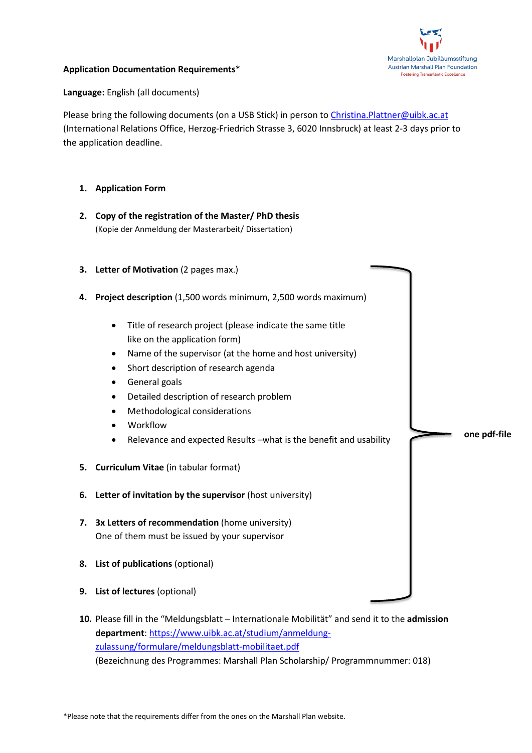

**one pdf-file**

## **Application Documentation Requirements**\*

**Language:** English (all documents)

Please bring the following documents (on a USB Stick) in person to [Christina.Plattner@uibk.ac.at](mailto:Christina.Plattner@uibk.ac.at) (International Relations Office, Herzog-Friedrich Strasse 3, 6020 Innsbruck) at least 2-3 days prior to the application deadline.

- **1. Application Form**
- **2. Copy of the registration of the Master/ PhD thesis** (Kopie der Anmeldung der Masterarbeit/ Dissertation)
- **3. Letter of Motivation** (2 pages max.)
- **4. Project description** (1,500 words minimum, 2,500 words maximum)
	- Title of research project (please indicate the same title like on the application form)
	- Name of the supervisor (at the home and host university)
	- Short description of research agenda
	- General goals
	- Detailed description of research problem
	- Methodological considerations
	- Workflow
	- Relevance and expected Results –what is the benefit and usability
- **5. Curriculum Vitae** (in tabular format)
- **6. Letter of invitation by the supervisor** (host university)
- **7. 3x Letters of recommendation** (home university) One of them must be issued by your supervisor
- **8. List of publications** (optional)
- **9. List of lectures** (optional)
- **10.** Please fill in the "Meldungsblatt Internationale Mobilität" and send it to the **admission department**: [https://www.uibk.ac.at/studium/anmeldung](https://www.uibk.ac.at/studium/anmeldung-zulassung/formulare/meldungsblatt-mobilitaet.pdf)[zulassung/formulare/meldungsblatt-mobilitaet.pdf](https://www.uibk.ac.at/studium/anmeldung-zulassung/formulare/meldungsblatt-mobilitaet.pdf) (Bezeichnung des Programmes: Marshall Plan Scholarship/ Programmnummer: 018)

\*Please note that the requirements differ from the ones on the Marshall Plan website.